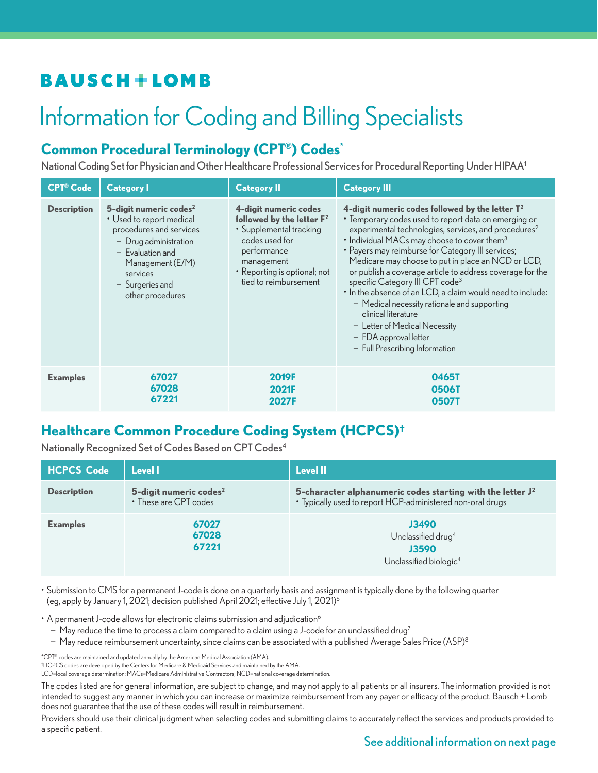# **BAUSCH+LOMB**

# Information for Coding and Billing Specialists

## **Common Procedural Terminology (CPT®) Codes\***

National Coding Set for Physician and Other Healthcare Professional Services for Procedural Reporting Under HIPAA1

| <b>CPT®</b> Code   | <b>Category I</b>                                                                                                                                                                                                 | <b>Category II</b>                                                                                                                                                                       | <b>Category III</b>                                                                                                                                                                                                                                                                                                                                                                                                                                                                                                                                                                                                                                                                                              |
|--------------------|-------------------------------------------------------------------------------------------------------------------------------------------------------------------------------------------------------------------|------------------------------------------------------------------------------------------------------------------------------------------------------------------------------------------|------------------------------------------------------------------------------------------------------------------------------------------------------------------------------------------------------------------------------------------------------------------------------------------------------------------------------------------------------------------------------------------------------------------------------------------------------------------------------------------------------------------------------------------------------------------------------------------------------------------------------------------------------------------------------------------------------------------|
| <b>Description</b> | 5-digit numeric codes <sup>2</sup><br>• Used to report medical<br>procedures and services<br>$-$ Drug administration<br>$-$ Evaluation and<br>Management (E/M)<br>services<br>- Surgeries and<br>other procedures | 4-digit numeric codes<br>followed by the letter $F^2$<br>• Supplemental tracking<br>codes used for<br>performance<br>management<br>• Reporting is optional; not<br>tied to reimbursement | 4-digit numeric codes followed by the letter $\mathsf{T}^2$<br>• Temporary codes used to report data on emerging or<br>experimental technologies, services, and procedures <sup>2</sup><br>$\cdot$ Individual MACs may choose to cover them <sup>3</sup><br>• Payers may reimburse for Category III services;<br>Medicare may choose to put in place an NCD or LCD,<br>or publish a coverage article to address coverage for the<br>specific Category III CPT code <sup>3</sup><br>• In the absence of an LCD, a claim would need to include:<br>- Medical necessity rationale and supporting<br>clinical literature<br>- Letter of Medical Necessity<br>- FDA approval letter<br>- Full Prescribing Information |
| <b>Examples</b>    | 67027<br>67028<br>67221                                                                                                                                                                                           | <b>2019F</b><br><b>2021F</b><br>2027F                                                                                                                                                    | 0465T<br>0506T<br>05071                                                                                                                                                                                                                                                                                                                                                                                                                                                                                                                                                                                                                                                                                          |

#### **Healthcare Common Procedure Coding System (HCPCS)†**

Nationally Recognized Set of Codes Based on CPT Codes4

| <b>HCPCS Code</b>  | Level I                                                     | Level II                                                                                                                    |
|--------------------|-------------------------------------------------------------|-----------------------------------------------------------------------------------------------------------------------------|
| <b>Description</b> | 5-digit numeric codes <sup>2</sup><br>• These are CPT codes | 5-character alphanumeric codes starting with the letter $J^2$<br>· Typically used to report HCP-administered non-oral drugs |
| <b>Examples</b>    | 67027<br>67028<br>67221                                     | J3490<br>Unclassified drug <sup>4</sup><br><b>J3590</b><br>Unclassified biologic <sup>4</sup>                               |

• Submission to CMS for a permanent J-code is done on a quarterly basis and assignment is typically done by the following quarter (eg, apply by January 1, 2021; decision published April 2021; effective July 1, 2021)5

• A permanent J-code allows for electronic claims submission and adjudication<sup>6</sup>

− May reduce the time to process a claim compared to a claim using a J-code for an unclassified drug7

− May reduce reimbursement uncertainty, since claims can be associated with a published Average Sales Price (ASP)8

\*CPT® codes are maintained and updated annually by the American Medical Association (AMA).

† HCPCS codes are developed by the Centers for Medicare & Medicaid Services and maintained by the AMA.

LCD=local coverage determination; MACs=Medicare Administrative Contractors; NCD=national coverage determination.

The codes listed are for general information, are subject to change, and may not apply to all patients or all insurers. The information provided is not intended to suggest any manner in which you can increase or maximize reimbursement from any payer or efficacy of the product. Bausch + Lomb does not guarantee that the use of these codes will result in reimbursement.

Providers should use their clinical judgment when selecting codes and submitting claims to accurately reflect the services and products provided to a specific patient.